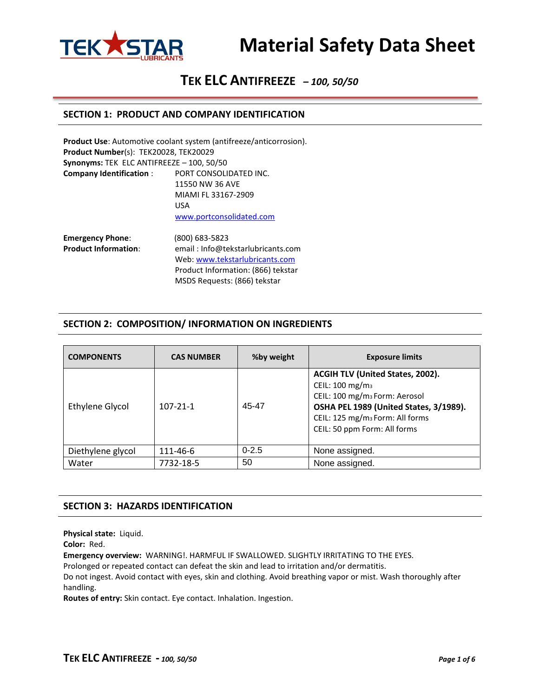

# **TEK ELC ANTIFREEZE** *– 100, 50/50*

#### **SECTION 1: PRODUCT AND COMPANY IDENTIFICATION**

|                                           | Product Use: Automotive coolant system (antifreeze/anticorrosion). |
|-------------------------------------------|--------------------------------------------------------------------|
| Product Number(s): TEK20028, TEK20029     |                                                                    |
| Synonyms: TEK ELC ANTIFREEZE - 100, 50/50 |                                                                    |
| <b>Company Identification:</b>            | PORT CONSOLIDATED INC.                                             |
|                                           | 11550 NW 36 AVE                                                    |
|                                           | MIAMI FL 33167-2909                                                |
|                                           | USA                                                                |
|                                           | www.portconsolidated.com                                           |
| <b>Emergency Phone:</b>                   | (800) 683-5823                                                     |
| <b>Product Information:</b>               | email: Info@tekstarlubricants.com                                  |
|                                           | Web: www.tekstarlubricants.com                                     |
|                                           | Product Information: (866) tekstar                                 |

### **SECTION 2: COMPOSITION/ INFORMATION ON INGREDIENTS**

MSDS Requests: (866) tekstar

| <b>COMPONENTS</b> | <b>CAS NUMBER</b> | %by weight | <b>Exposure limits</b>                                                                                                                                                                                                                |
|-------------------|-------------------|------------|---------------------------------------------------------------------------------------------------------------------------------------------------------------------------------------------------------------------------------------|
| Ethylene Glycol   | $107 - 21 - 1$    | 45-47      | ACGIH TLV (United States, 2002).<br>CEIL: 100 mg/m <sub>3</sub><br>CEIL: 100 mg/m <sub>3</sub> Form: Aerosol<br>OSHA PEL 1989 (United States, 3/1989).<br>CEIL: 125 mg/m <sub>3</sub> Form: All forms<br>CEIL: 50 ppm Form: All forms |
| Diethylene glycol | 111-46-6          | $0 - 2.5$  | None assigned.                                                                                                                                                                                                                        |
| Water             | 7732-18-5         | 50         | None assigned.                                                                                                                                                                                                                        |

#### **SECTION 3: HAZARDS IDENTIFICATION**

**Physical state:** Liquid.

**Color:** Red.

**Emergency overview:** WARNING!. HARMFUL IF SWALLOWED. SLIGHTLY IRRITATING TO THE EYES.

Prolonged or repeated contact can defeat the skin and lead to irritation and/or dermatitis.

Do not ingest. Avoid contact with eyes, skin and clothing. Avoid breathing vapor or mist. Wash thoroughly after handling.

**Routes of entry:** Skin contact. Eye contact. Inhalation. Ingestion.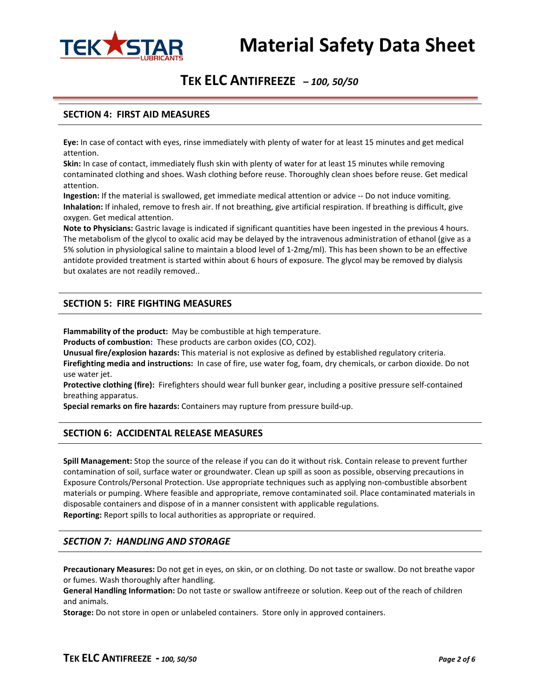

## **TEK ELC ANTIFREEZE** *– 100, 50/50*

### **SECTION 4: FIRST AID MEASURES**

**Eye:** In case of contact with eyes, rinse immediately with plenty of water for at least 15 minutes and get medical attention.

**Skin:** In case of contact, immediately flush skin with plenty of water for at least 15 minutes while removing contaminated clothing and shoes. Wash clothing before reuse. Thoroughly clean shoes before reuse. Get medical attention.

**Ingestion:** If the material is swallowed, get immediate medical attention or advice -- Do not induce vomiting. **Inhalation:** If inhaled, remove to fresh air. If not breathing, give artificial respiration. If breathing is difficult, give oxygen. Get medical attention.

**Note to Physicians:** Gastric lavage is indicated if significant quantities have been ingested in the previous 4 hours. The metabolism of the glycol to oxalic acid may be delayed by the intravenous administration of ethanol (give as a 5% solution in physiological saline to maintain a blood level of 1-2mg/ml). This has been shown to be an effective antidote provided treatment is started within about 6 hours of exposure. The glycol may be removed by dialysis but oxalates are not readily removed..

### **SECTION 5: FIRE FIGHTING MEASURES**

**Flammability of the product:** May be combustible at high temperature.

**Products of combustion:** These products are carbon oxides (CO, CO2).

**Unusual fire/explosion hazards:** This material is not explosive as defined by established regulatory criteria. **Firefighting media and instructions:** In case of fire, use water fog, foam, dry chemicals, or carbon dioxide. Do not use water jet.

**Protective clothing (fire):** Firefighters should wear full bunker gear, including a positive pressure self-contained breathing apparatus.

**Special remarks on fire hazards:** Containers may rupture from pressure build-up.

#### **SECTION 6: ACCIDENTAL RELEASE MEASURES**

**Spill Management:** Stop the source of the release if you can do it without risk. Contain release to prevent further contamination of soil, surface water or groundwater. Clean up spill as soon as possible, observing precautions in Exposure Controls/Personal Protection. Use appropriate techniques such as applying non-combustible absorbent materials or pumping. Where feasible and appropriate, remove contaminated soil. Place contaminated materials in disposable containers and dispose of in a manner consistent with applicable regulations. **Reporting:** Report spills to local authorities as appropriate or required.

#### *SECTION 7: HANDLING AND STORAGE*

**Precautionary Measures:** Do not get in eyes, on skin, or on clothing. Do not taste or swallow. Do not breathe vapor or fumes. Wash thoroughly after handling.

**General Handling Information:** Do not taste or swallow antifreeze or solution. Keep out of the reach of children and animals.

**Storage:** Do not store in open or unlabeled containers. Store only in approved containers.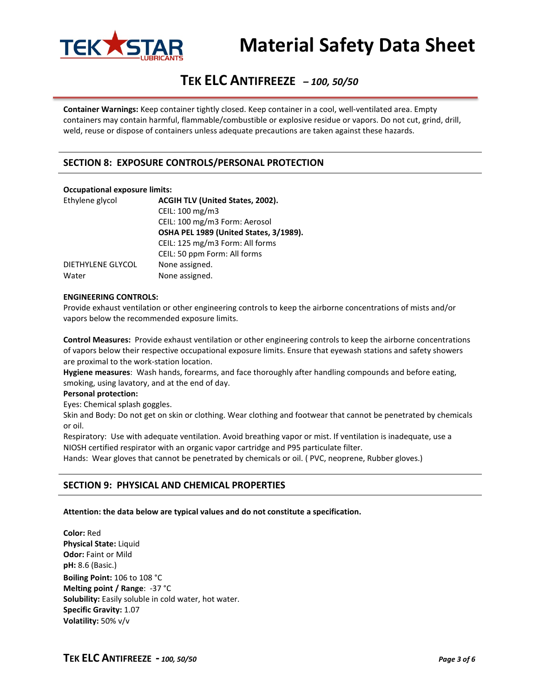

# **TEK ELC ANTIFREEZE** *– 100, 50/50*

**Container Warnings:** Keep container tightly closed. Keep container in a cool, well-ventilated area. Empty containers may contain harmful, flammable/combustible or explosive residue or vapors. Do not cut, grind, drill, weld, reuse or dispose of containers unless adequate precautions are taken against these hazards.

### **SECTION 8: EXPOSURE CONTROLS/PERSONAL PROTECTION**

#### **Occupational exposure limits:**

| Ethylene glycol   | ACGIH TLV (United States, 2002).       |  |
|-------------------|----------------------------------------|--|
|                   | CEIL: 100 mg/m3                        |  |
|                   | CEIL: 100 mg/m3 Form: Aerosol          |  |
|                   | OSHA PEL 1989 (United States, 3/1989). |  |
|                   | CEIL: 125 mg/m3 Form: All forms        |  |
|                   | CEIL: 50 ppm Form: All forms           |  |
| DIETHYLENE GLYCOL | None assigned.                         |  |
| Water             | None assigned.                         |  |

#### **ENGINEERING CONTROLS:**

Provide exhaust ventilation or other engineering controls to keep the airborne concentrations of mists and/or vapors below the recommended exposure limits.

**Control Measures:** Provide exhaust ventilation or other engineering controls to keep the airborne concentrations of vapors below their respective occupational exposure limits. Ensure that eyewash stations and safety showers are proximal to the work-station location.

**Hygiene measures**: Wash hands, forearms, and face thoroughly after handling compounds and before eating, smoking, using lavatory, and at the end of day.

#### **Personal protection:**

Eyes: Chemical splash goggles.

Skin and Body: Do not get on skin or clothing. Wear clothing and footwear that cannot be penetrated by chemicals or oil.

Respiratory: Use with adequate ventilation. Avoid breathing vapor or mist. If ventilation is inadequate, use a NIOSH certified respirator with an organic vapor cartridge and P95 particulate filter.

Hands: Wear gloves that cannot be penetrated by chemicals or oil. ( PVC, neoprene, Rubber gloves.)

#### **SECTION 9: PHYSICAL AND CHEMICAL PROPERTIES**

#### **Attention: the data below are typical values and do not constitute a specification.**

**Color:** Red **Physical State:** Liquid **Odor:** Faint or Mild **pH:** 8.6 (Basic.) **Boiling Point:** 106 to 108 °C **Melting point / Range**: -37 °C **Solubility:** Easily soluble in cold water, hot water. **Specific Gravity:** 1.07 **Volatility:** 50% v/v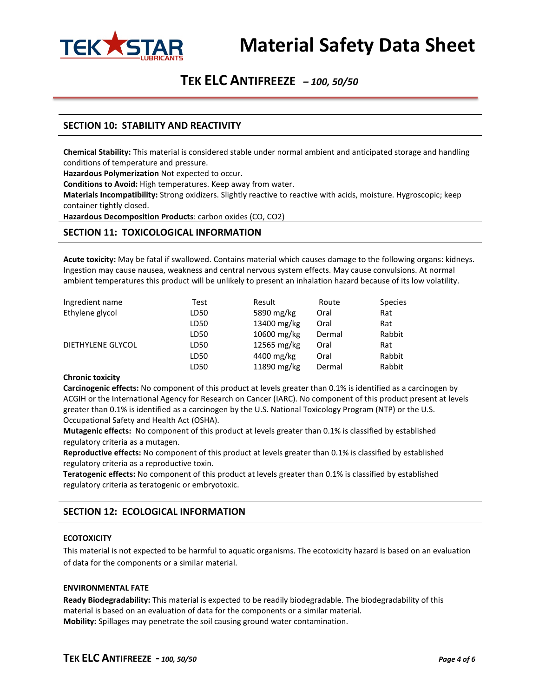

## **TEK ELC ANTIFREEZE** *– 100, 50/50*

### **SECTION 10: STABILITY AND REACTIVITY**

**Chemical Stability:** This material is considered stable under normal ambient and anticipated storage and handling conditions of temperature and pressure.

**Hazardous Polymerization** Not expected to occur.

**Conditions to Avoid:** High temperatures. Keep away from water.

**Materials Incompatibility:** Strong oxidizers. Slightly reactive to reactive with acids, moisture. Hygroscopic; keep container tightly closed.

**Hazardous Decomposition Products**: carbon oxides (CO, CO2)

#### **SECTION 11: TOXICOLOGICAL INFORMATION**

**Acute toxicity:** May be fatal if swallowed. Contains material which causes damage to the following organs: kidneys. Ingestion may cause nausea, weakness and central nervous system effects. May cause convulsions. At normal ambient temperatures this product will be unlikely to present an inhalation hazard because of its low volatility.

| Ingredient name          | Test | Result      | Route  | <b>Species</b> |
|--------------------------|------|-------------|--------|----------------|
| Ethylene glycol          | LD50 | 5890 mg/kg  | Oral   | Rat            |
|                          | LD50 | 13400 mg/kg | Oral   | Rat            |
|                          | LD50 | 10600 mg/kg | Dermal | Rabbit         |
| <b>DIETHYLENE GLYCOL</b> | LD50 | 12565 mg/kg | Oral   | Rat            |
|                          | LD50 | 4400 mg/kg  | Oral   | Rabbit         |
|                          | LD50 | 11890 mg/kg | Dermal | Rabbit         |

#### **Chronic toxicity**

**Carcinogenic effects:** No component of this product at levels greater than 0.1% is identified as a carcinogen by ACGIH or the International Agency for Research on Cancer (IARC). No component of this product present at levels greater than 0.1% is identified as a carcinogen by the U.S. National Toxicology Program (NTP) or the U.S. Occupational Safety and Health Act (OSHA).

**Mutagenic effects:** No component of this product at levels greater than 0.1% is classified by established regulatory criteria as a mutagen.

**Reproductive effects:** No component of this product at levels greater than 0.1% is classified by established regulatory criteria as a reproductive toxin.

**Teratogenic effects:** No component of this product at levels greater than 0.1% is classified by established regulatory criteria as teratogenic or embryotoxic.

#### **SECTION 12: ECOLOGICAL INFORMATION**

#### **ECOTOXICITY**

This material is not expected to be harmful to aquatic organisms. The ecotoxicity hazard is based on an evaluation of data for the components or a similar material.

#### **ENVIRONMENTAL FATE**

**Ready Biodegradability:** This material is expected to be readily biodegradable. The biodegradability of this material is based on an evaluation of data for the components or a similar material. **Mobility:** Spillages may penetrate the soil causing ground water contamination.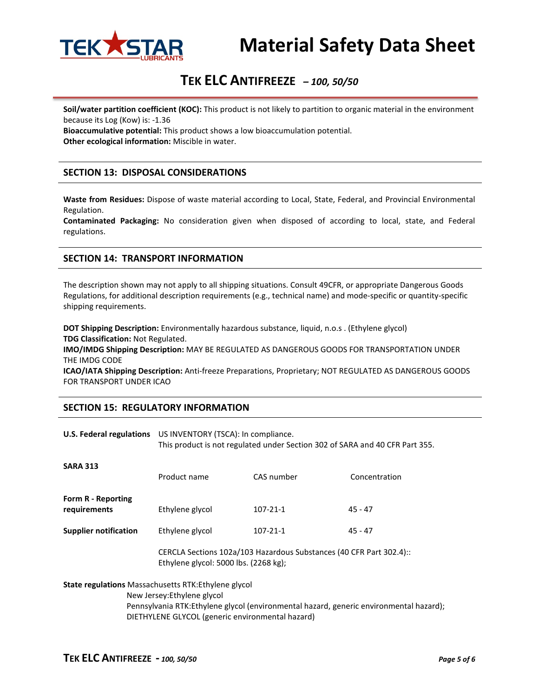

# **TEK ELC ANTIFREEZE** *– 100, 50/50*

**Soil/water partition coefficient (KOC):** This product is not likely to partition to organic material in the environment because its Log (Kow) is: -1.36

**Bioaccumulative potential:** This product shows a low bioaccumulation potential. **Other ecological information:** Miscible in water.

### **SECTION 13: DISPOSAL CONSIDERATIONS**

**Waste from Residues:** Dispose of waste material according to Local, State, Federal, and Provincial Environmental Regulation.

**Contaminated Packaging:** No consideration given when disposed of according to local, state, and Federal regulations.

### **SECTION 14: TRANSPORT INFORMATION**

The description shown may not apply to all shipping situations. Consult 49CFR, or appropriate Dangerous Goods Regulations, for additional description requirements (e.g., technical name) and mode-specific or quantity-specific shipping requirements.

**DOT Shipping Description:** Environmentally hazardous substance, liquid, n.o.s . (Ethylene glycol) **TDG Classification:** Not Regulated.

**IMO/IMDG Shipping Description:** MAY BE REGULATED AS DANGEROUS GOODS FOR TRANSPORTATION UNDER THE IMDG CODE

**ICAO/IATA Shipping Description:** Anti-freeze Preparations, Proprietary; NOT REGULATED AS DANGEROUS GOODS FOR TRANSPORT UNDER ICAO

#### **SECTION 15: REGULATORY INFORMATION**

|                                                                                                                                                                                                                                          | U.S. Federal regulations US INVENTORY (TSCA): In compliance.<br>This product is not regulated under Section 302 of SARA and 40 CFR Part 355. |                |               |  |
|------------------------------------------------------------------------------------------------------------------------------------------------------------------------------------------------------------------------------------------|----------------------------------------------------------------------------------------------------------------------------------------------|----------------|---------------|--|
| <b>SARA 313</b>                                                                                                                                                                                                                          | Product name                                                                                                                                 | CAS number     | Concentration |  |
| Form R - Reporting<br>requirements                                                                                                                                                                                                       | Ethylene glycol                                                                                                                              | $107 - 21 - 1$ | $45 - 47$     |  |
| <b>Supplier notification</b>                                                                                                                                                                                                             | Ethylene glycol                                                                                                                              | $107 - 21 - 1$ | $45 - 47$     |  |
|                                                                                                                                                                                                                                          | CERCLA Sections 102a/103 Hazardous Substances (40 CFR Part 302.4):<br>Ethylene glycol: 5000 lbs. (2268 kg);                                  |                |               |  |
| <b>State regulations</b> Massachusetts RTK: Ethylene glycol<br>New Jersey: Ethylene glycol<br>Pennsylvania RTK:Ethylene glycol (environmental hazard, generic environmental hazard);<br>DIETHYLENE GLYCOL (generic environmental hazard) |                                                                                                                                              |                |               |  |